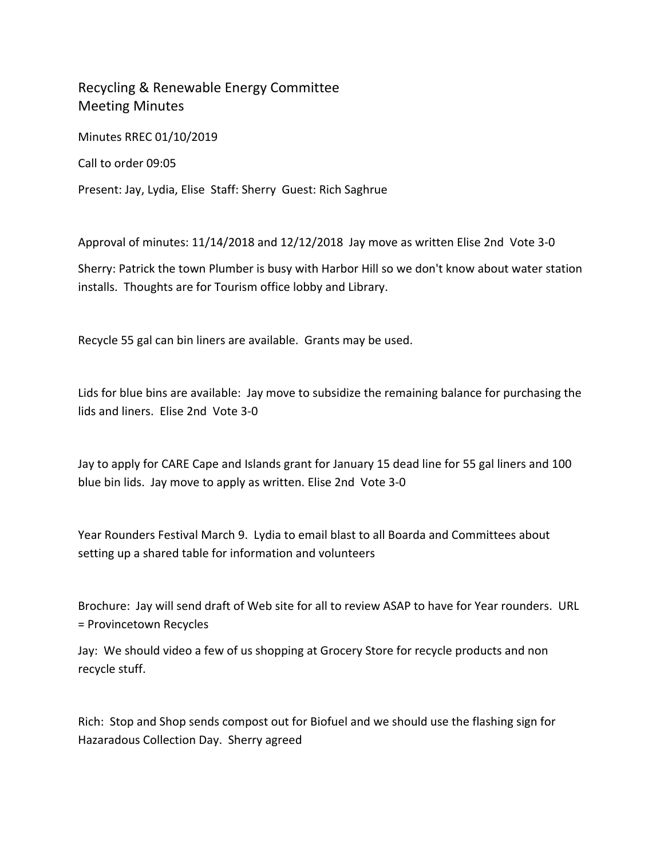## Recycling & Renewable Energy Committee Meeting Minutes

Minutes RREC 01/10/2019

Call to order 09:05

Present: Jay, Lydia, Elise Staff: Sherry Guest: Rich Saghrue

Approval of minutes: 11/14/2018 and 12/12/2018 Jay move as written Elise 2nd Vote 3‐0

Sherry: Patrick the town Plumber is busy with Harbor Hill so we don't know about water station installs. Thoughts are for Tourism office lobby and Library.

Recycle 55 gal can bin liners are available. Grants may be used.

Lids for blue bins are available: Jay move to subsidize the remaining balance for purchasing the lids and liners. Elise 2nd Vote 3‐0

Jay to apply for CARE Cape and Islands grant for January 15 dead line for 55 gal liners and 100 blue bin lids. Jay move to apply as written. Elise 2nd Vote 3‐0

Year Rounders Festival March 9. Lydia to email blast to all Boarda and Committees about setting up a shared table for information and volunteers

Brochure: Jay will send draft of Web site for all to review ASAP to have for Year rounders. URL = Provincetown Recycles

Jay: We should video a few of us shopping at Grocery Store for recycle products and non recycle stuff.

Rich: Stop and Shop sends compost out for Biofuel and we should use the flashing sign for Hazaradous Collection Day. Sherry agreed